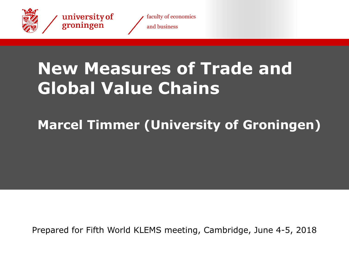

university of<br>groningen



# **New Measures of Trade and Global Value Chains**

# **Marcel Timmer (University of Groningen)**

Prepared for Fifth World KLEMS meeting, Cambridge, June 4-5, 2018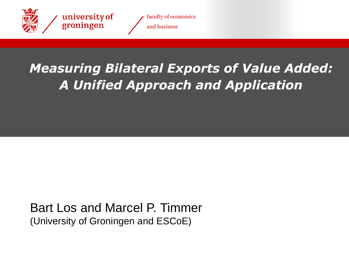



# *Measuring Bilateral Exports of Value Added: A Unified Approach and Application*

### Bart Los and Marcel P. Timmer (University of Groningen and ESCoE)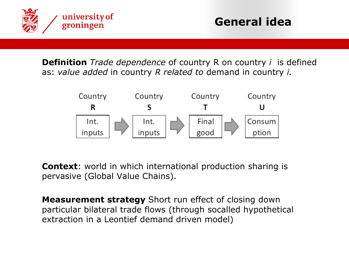

**Definition** *Trade dependence* of country R on country *i* is defined as: *value added* in country *R related to* demand in country *i.*



**Context**: world in which international production sharing is pervasive (Global Value Chains).

**Measurement strategy** Short run effect of closing down particular bilateral trade flows (through socalled hypothetical extraction in a Leontief demand driven model)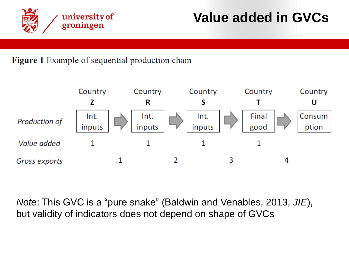

#### Figure 1 Example of sequential production chain



*Note*: This GVC is a "pure snake" (Baldwin and Venables, 2013, *JIE*), but validity of indicators does not depend on shape of GVCs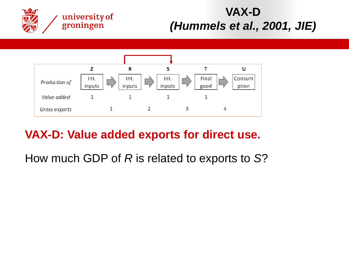

## **VAX-D**  *(Hummels et al., 2001, JIE)*



## **VAX-D: Value added exports for direct use.**

How much GDP of *R* is related to exports to *S*?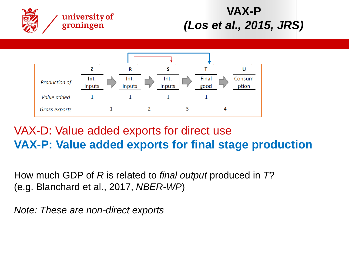

## **VAX-P**  *(Los et al., 2015, JRS)*



## VAX-D: Value added exports for direct use **VAX-P: Value added exports for final stage production**

How much GDP of *R* is related to *final output* produced in *T*? (e.g. Blanchard et al., 2017, *NBER-WP*)

*Note: These are non-direct exports*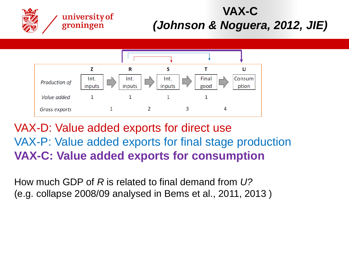

### VAX-D: Value added exports for direct use VAX-P: Value added exports for final stage production **VAX-C: Value added exports for consumption**

How much GDP of *R* is related to final demand from *U?*  (e.g. collapse 2008/09 analysed in Bems et al., 2011, 2013 )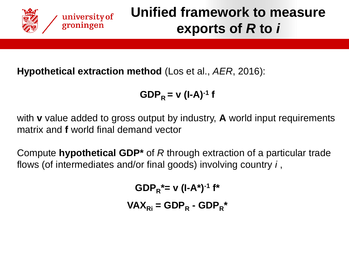

## **Unified framework to measure exports of** *R* **to** *i*

#### **Hypothetical extraction method** (Los et al., *AER*, 2016):

 $GDP_R = v (I-A)^{-1} f$ 

with **v** value added to gross output by industry, **A** world input requirements matrix and **f** world final demand vector

Compute **hypothetical GDP\*** of *R* through extraction of a particular trade flows (of intermediates and/or final goods) involving country *i* ,

> $GDP_R^* = v (I-A^*)^{-1} f^*$  $\mathbf{VAX}_{\mathsf{R}i} = \mathbf{GDP}_{\mathsf{R}} - \mathbf{GDP}_{\mathsf{R}}$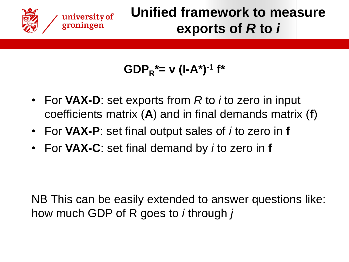

## **Unified framework to measure exports of** *R* **to** *i*

$$
\mathsf{GDP}_{R}^* = \mathsf{v} \ (\mathsf{I} \text{-} \mathsf{A}^*)^{-1} \ \mathsf{f}^*
$$

- For **VAX-D**: set exports from *R* to *i* to zero in input coefficients matrix (**A**) and in final demands matrix (**f**)
- For **VAX-P**: set final output sales of *i* to zero in **f**
- For **VAX-C**: set final demand by *i* to zero in **f**

NB This can be easily extended to answer questions like: how much GDP of R goes to *i* through *j*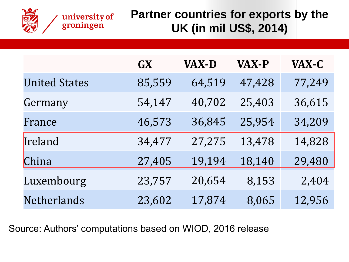

|                      | <b>GX</b> | <b>VAX-D</b> | <b>VAX-P</b> | VAX-C  |
|----------------------|-----------|--------------|--------------|--------|
| <b>United States</b> | 85,559    | 64,519       | 47,428       | 77,249 |
| Germany              | 54,147    | 40,702       | 25,403       | 36,615 |
| France               | 46,573    | 36,845       | 25,954       | 34,209 |
| Ireland              | 34,477    | 27,275       | 13,478       | 14,828 |
| China                | 27,405    | 19,194       | 18,140       | 29,480 |
| Luxembourg           | 23,757    | 20,654       | 8,153        | 2,404  |
| Netherlands          | 23,602    | 17,874       | 8,065        | 12,956 |

Source: Authors' computations based on WIOD, 2016 release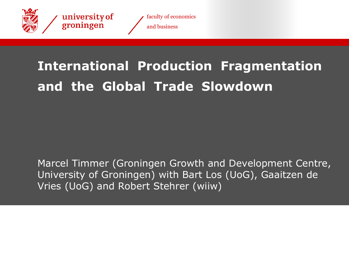

faculty of economics and business

# **International Production Fragmentation and the Global Trade Slowdown**

Marcel Timmer (Groningen Growth and Development Centre, University of Groningen) with Bart Los (UoG), Gaaitzen de Vries (UoG) and Robert Stehrer (wiiw)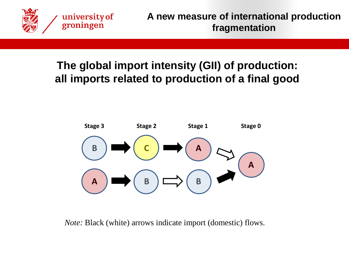

#### **Figure 2: Illustration of international production network. The global import intensity (GII) of production: all imports related to production of a final good**



*Note:* Black (white) arrows indicate import (domestic) flows.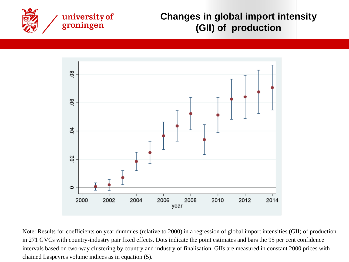

#### **Changes in global import intensity (GII) of production**



Note: Results for coefficients on year dummies (relative to 2000) in a regression of global import intensities (GII) of production in 271 GVCs with country-industry pair fixed effects. Dots indicate the point estimates and bars the 95 per cent confidence intervals based on two-way clustering by country and industry of finalisation. GIIs are measured in constant 2000 prices with chained Laspeyres volume indices as in equation (5).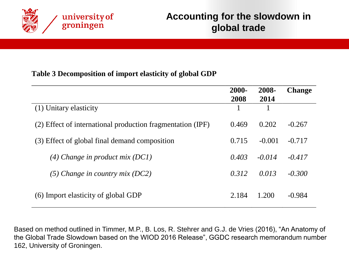

#### **Table 3 Decomposition of import elasticity of global GDP**

|                                                            | 2000-<br>2008 | 2008-<br>2014 | <b>Change</b> |
|------------------------------------------------------------|---------------|---------------|---------------|
| (1) Unitary elasticity                                     |               |               |               |
| (2) Effect of international production fragmentation (IPF) | 0.469         | 0.202         | $-0.267$      |
| (3) Effect of global final demand composition              |               | $-0.001$      | $-0.717$      |
| $(4)$ Change in product mix (DC1)                          | 0.403         | $-0.014$      | $-0.417$      |
| (5) Change in country mix (DC2)                            | 0.312         | 0.013         | $-0.300$      |
| (6) Import elasticity of global GDP                        | 2.184         | 1.200         | $-0.984$      |

Based on method outlined in Timmer, M.P., B. Los, R. Stehrer and G.J. de Vries (2016), "An Anatomy of the Global Trade Slowdown based on the WIOD 2016 Release", GGDC research memorandum number 162, University of Groningen.